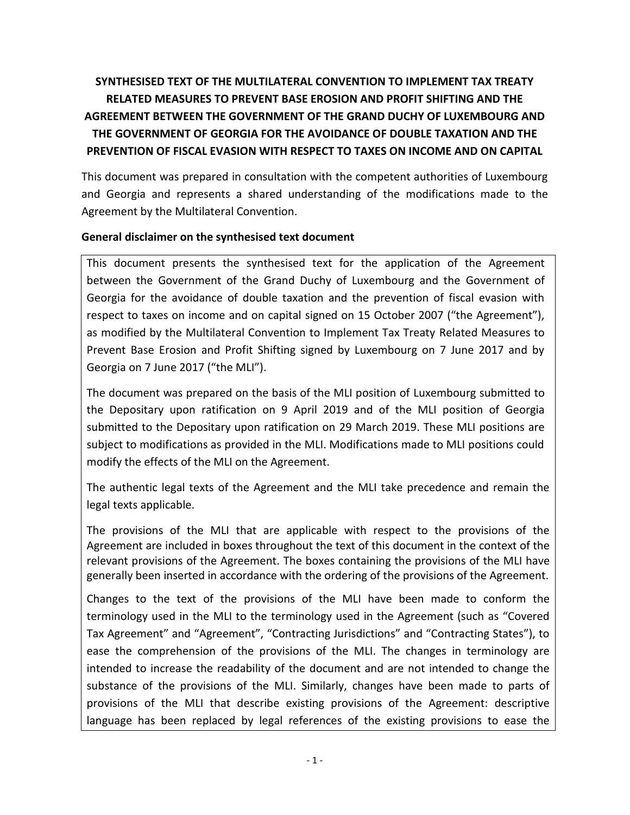# **SYNTHESISED TEXT OF THE MULTILATERAL CONVENTION TO IMPLEMENT TAX TREATY RELATED MEASURES TO PREVENT BASE EROSION AND PROFIT SHIFTING AND THE AGREEMENT BETWEEN THE GOVERNMENT OF THE GRAND DUCHY OF LUXEMBOURG AND THE GOVERNMENT OF GEORGIA FOR THE AVOIDANCE OF DOUBLE TAXATION AND THE PREVENTION OF FISCAL EVASION WITH RESPECT TO TAXES ON INCOME AND ON CAPITAL**

This document was prepared in consultation with the competent authorities of Luxembourg and Georgia and represents a shared understanding of the modifications made to the Agreement by the Multilateral Convention.

### **General disclaimer on the synthesised text document**

This document presents the synthesised text for the application of the Agreement between the Government of the Grand Duchy of Luxembourg and the Government of Georgia for the avoidance of double taxation and the prevention of fiscal evasion with respect to taxes on income and on capital signed on 15 October 2007 ("the Agreement"), as modified by the Multilateral Convention to Implement Tax Treaty Related Measures to Prevent Base Erosion and Profit Shifting signed by Luxembourg on 7 June 2017 and by Georgia on 7 June 2017 ("the MLI").

The document was prepared on the basis of the MLI position of Luxembourg submitted to the Depositary upon ratification on 9 April 2019 and of the MLI position of Georgia submitted to the Depositary upon ratification on 29 March 2019. These MLI positions are subject to modifications as provided in the MLI. Modifications made to MLI positions could modify the effects of the MLI on the Agreement.

The authentic legal texts of the Agreement and the MLI take precedence and remain the legal texts applicable.

The provisions of the MLI that are applicable with respect to the provisions of the Agreement are included in boxes throughout the text of this document in the context of the relevant provisions of the Agreement. The boxes containing the provisions of the MLI have generally been inserted in accordance with the ordering of the provisions of the Agreement.

Changes to the text of the provisions of the MLI have been made to conform the terminology used in the MLI to the terminology used in the Agreement (such as "Covered Tax Agreement" and "Agreement", "Contracting Jurisdictions" and "Contracting States"), to ease the comprehension of the provisions of the MLI. The changes in terminology are intended to increase the readability of the document and are not intended to change the substance of the provisions of the MLI. Similarly, changes have been made to parts of provisions of the MLI that describe existing provisions of the Agreement: descriptive language has been replaced by legal references of the existing provisions to ease the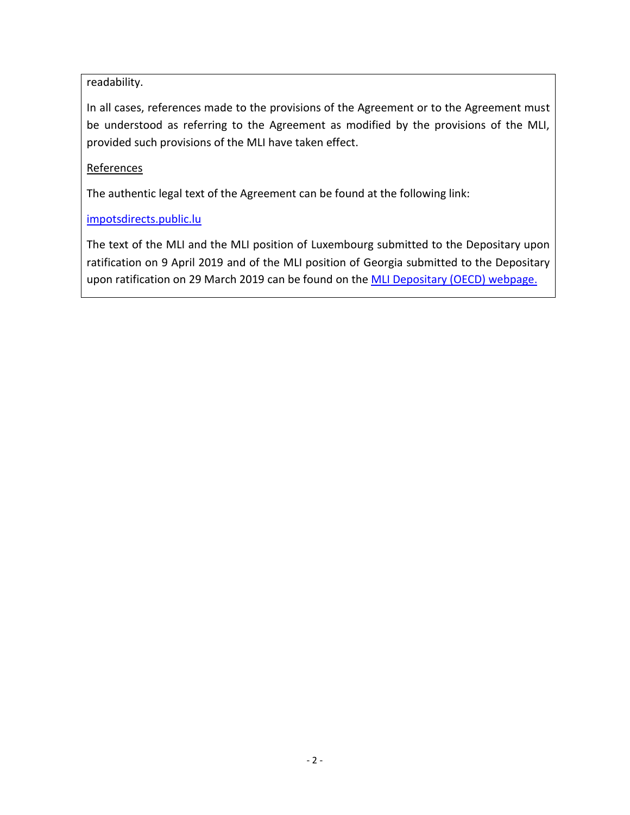# readability.

In all cases, references made to the provisions of the Agreement or to the Agreement must be understood as referring to the Agreement as modified by the provisions of the MLI, provided such provisions of the MLI have taken effect.

# **References**

The authentic legal text of the Agreement can be found at the following link:

# [impotsdirects.public.lu](https://impotsdirects.public.lu/fr.html)

The text of the MLI and the MLI position of Luxembourg submitted to the Depositary upon ratification on 9 April 2019 and of the MLI position of Georgia submitted to the Depositary upon ratification on 29 March 2019 can be found on the **MLI Depositary (OECD)** webpage.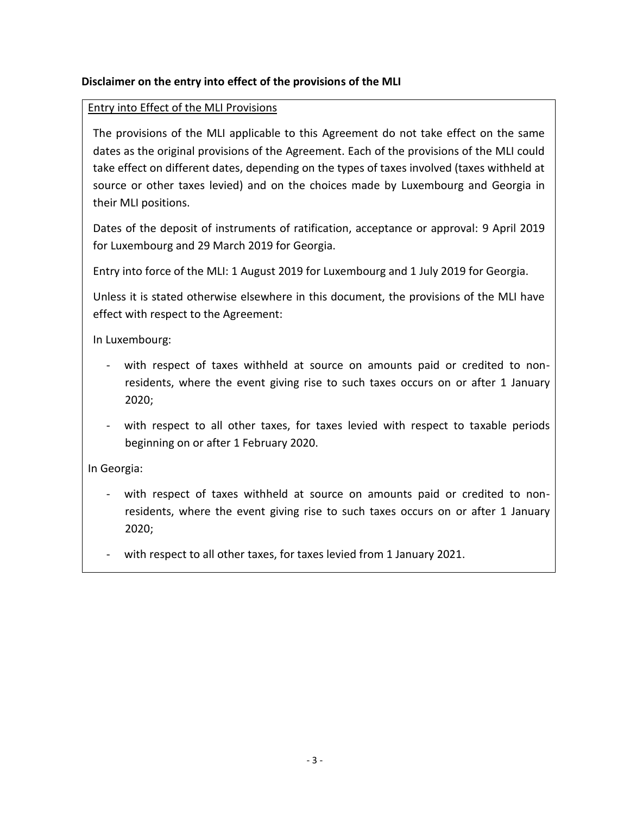# **Disclaimer on the entry into effect of the provisions of the MLI**

### Entry into Effect of the MLI Provisions

The provisions of the MLI applicable to this Agreement do not take effect on the same dates as the original provisions of the Agreement. Each of the provisions of the MLI could take effect on different dates, depending on the types of taxes involved (taxes withheld at source or other taxes levied) and on the choices made by Luxembourg and Georgia in their MLI positions.

Dates of the deposit of instruments of ratification, acceptance or approval: 9 April 2019 for Luxembourg and 29 March 2019 for Georgia.

Entry into force of the MLI: 1 August 2019 for Luxembourg and 1 July 2019 for Georgia.

Unless it is stated otherwise elsewhere in this document, the provisions of the MLI have effect with respect to the Agreement:

In Luxembourg:

- with respect of taxes withheld at source on amounts paid or credited to nonresidents, where the event giving rise to such taxes occurs on or after 1 January 2020;
- with respect to all other taxes, for taxes levied with respect to taxable periods beginning on or after 1 February 2020.

In Georgia:

- with respect of taxes withheld at source on amounts paid or credited to nonresidents, where the event giving rise to such taxes occurs on or after 1 January 2020;
- with respect to all other taxes, for taxes levied from 1 January 2021.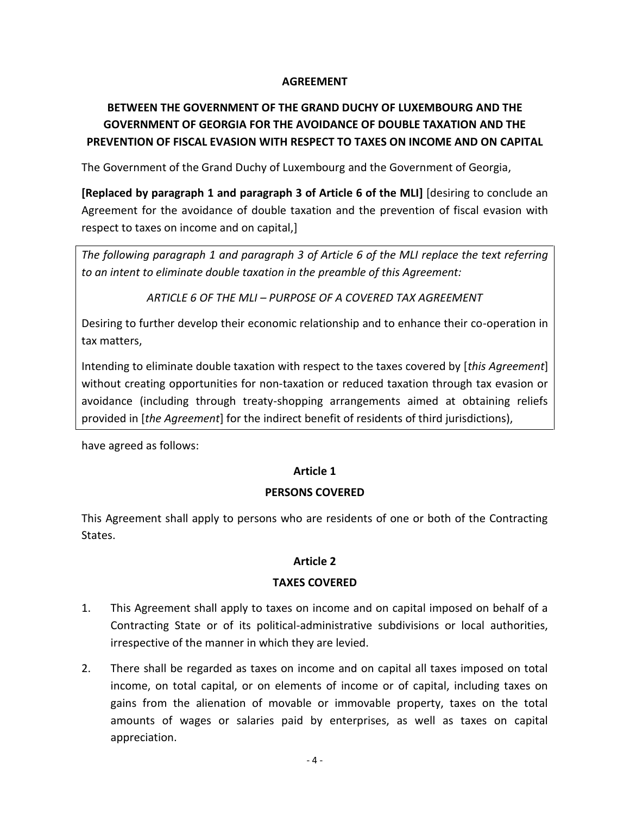### **AGREEMENT**

# **BETWEEN THE GOVERNMENT OF THE GRAND DUCHY OF LUXEMBOURG AND THE GOVERNMENT OF GEORGIA FOR THE AVOIDANCE OF DOUBLE TAXATION AND THE PREVENTION OF FISCAL EVASION WITH RESPECT TO TAXES ON INCOME AND ON CAPITAL**

The Government of the Grand Duchy of Luxembourg and the Government of Georgia,

**[Replaced by paragraph 1 and paragraph 3 of Article 6 of the MLI]** [desiring to conclude an Agreement for the avoidance of double taxation and the prevention of fiscal evasion with respect to taxes on income and on capital,]

*The following paragraph 1 and paragraph 3 of Article 6 of the MLI replace the text referring to an intent to eliminate double taxation in the preamble of this Agreement:*

*ARTICLE 6 OF THE MLI – PURPOSE OF A COVERED TAX AGREEMENT*

Desiring to further develop their economic relationship and to enhance their co-operation in tax matters,

Intending to eliminate double taxation with respect to the taxes covered by [*this Agreement*] without creating opportunities for non-taxation or reduced taxation through tax evasion or avoidance (including through treaty-shopping arrangements aimed at obtaining reliefs provided in [*the Agreement*] for the indirect benefit of residents of third jurisdictions),

have agreed as follows:

# **Article 1**

# **PERSONS COVERED**

This Agreement shall apply to persons who are residents of one or both of the Contracting States.

### **Article 2**

### **TAXES COVERED**

- 1. This Agreement shall apply to taxes on income and on capital imposed on behalf of a Contracting State or of its political-administrative subdivisions or local authorities, irrespective of the manner in which they are levied.
- 2. There shall be regarded as taxes on income and on capital all taxes imposed on total income, on total capital, or on elements of income or of capital, including taxes on gains from the alienation of movable or immovable property, taxes on the total amounts of wages or salaries paid by enterprises, as well as taxes on capital appreciation.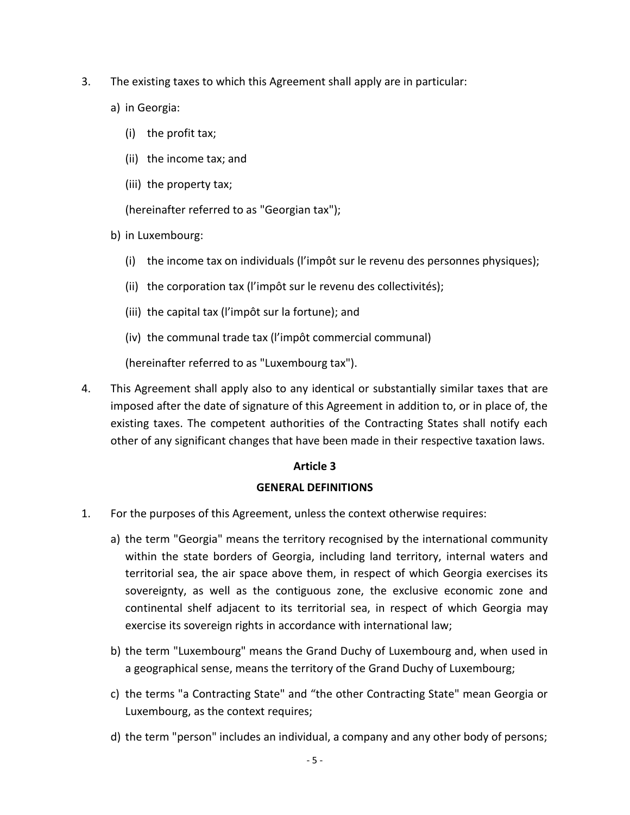- 3. The existing taxes to which this Agreement shall apply are in particular:
	- a) in Georgia:
		- (i) the profit tax;
		- (ii) the income tax; and
		- (iii) the property tax;

(hereinafter referred to as "Georgian tax");

- b) in Luxembourg:
	- (i) the income tax on individuals (l'impôt sur le revenu des personnes physiques);
	- (ii) the corporation tax (l'impôt sur le revenu des collectivités);
	- (iii) the capital tax (l'impôt sur la fortune); and
	- (iv) the communal trade tax (l'impôt commercial communal)

(hereinafter referred to as "Luxembourg tax").

4. This Agreement shall apply also to any identical or substantially similar taxes that are imposed after the date of signature of this Agreement in addition to, or in place of, the existing taxes. The competent authorities of the Contracting States shall notify each other of any significant changes that have been made in their respective taxation laws.

# **Article 3**

### **GENERAL DEFINITIONS**

- 1. For the purposes of this Agreement, unless the context otherwise requires:
	- a) the term "Georgia" means the territory recognised by the international community within the state borders of Georgia, including land territory, internal waters and territorial sea, the air space above them, in respect of which Georgia exercises its sovereignty, as well as the contiguous zone, the exclusive economic zone and continental shelf adjacent to its territorial sea, in respect of which Georgia may exercise its sovereign rights in accordance with international law;
	- b) the term "Luxembourg" means the Grand Duchy of Luxembourg and, when used in a geographical sense, means the territory of the Grand Duchy of Luxembourg;
	- c) the terms "a Contracting State" and "the other Contracting State" mean Georgia or Luxembourg, as the context requires;
	- d) the term "person" includes an individual, a company and any other body of persons;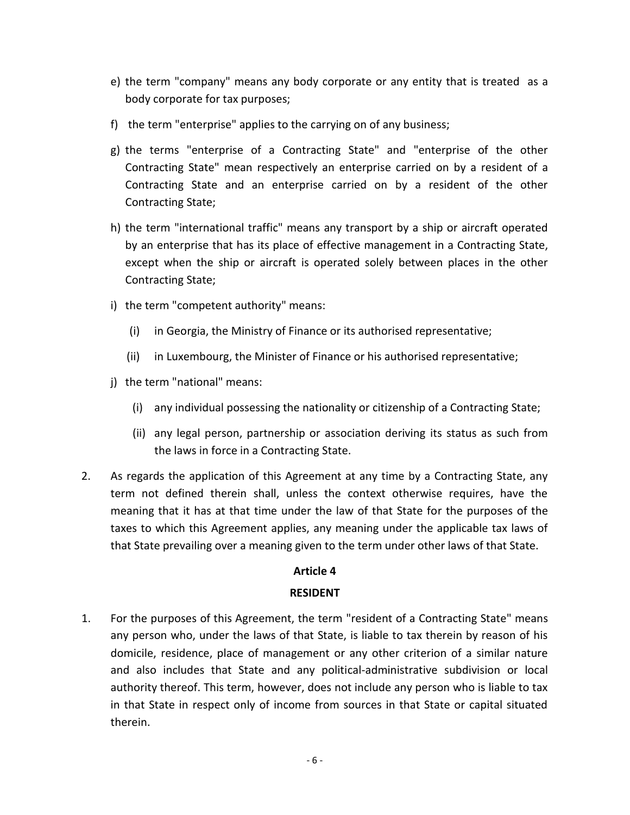- e) the term "company" means any body corporate or any entity that is treated as a body corporate for tax purposes;
- f) the term "enterprise" applies to the carrying on of any business;
- g) the terms "enterprise of a Contracting State" and "enterprise of the other Contracting State" mean respectively an enterprise carried on by a resident of a Contracting State and an enterprise carried on by a resident of the other Contracting State;
- h) the term "international traffic" means any transport by a ship or aircraft operated by an enterprise that has its place of effective management in a Contracting State, except when the ship or aircraft is operated solely between places in the other Contracting State;
- i) the term "competent authority" means:
	- (i) in Georgia, the Ministry of Finance or its authorised representative;
	- (ii) in Luxembourg, the Minister of Finance or his authorised representative;
- j) the term "national" means:
	- (i) any individual possessing the nationality or citizenship of a Contracting State;
	- (ii) any legal person, partnership or association deriving its status as such from the laws in force in a Contracting State.
- 2. As regards the application of this Agreement at any time by a Contracting State, any term not defined therein shall, unless the context otherwise requires, have the meaning that it has at that time under the law of that State for the purposes of the taxes to which this Agreement applies, any meaning under the applicable tax laws of that State prevailing over a meaning given to the term under other laws of that State.

### **RESIDENT**

1. For the purposes of this Agreement, the term "resident of a Contracting State" means any person who, under the laws of that State, is liable to tax therein by reason of his domicile, residence, place of management or any other criterion of a similar nature and also includes that State and any political-administrative subdivision or local authority thereof. This term, however, does not include any person who is liable to tax in that State in respect only of income from sources in that State or capital situated therein.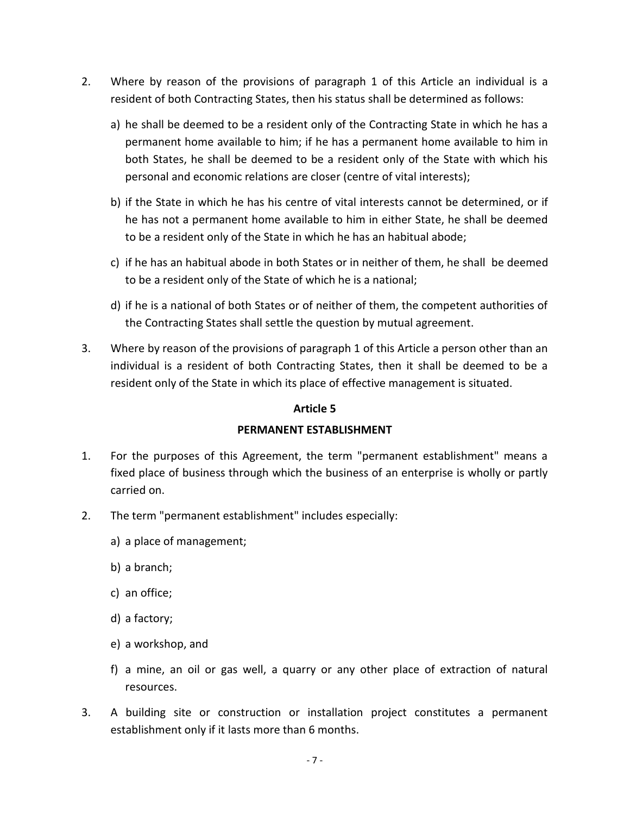- 2. Where by reason of the provisions of paragraph 1 of this Article an individual is a resident of both Contracting States, then his status shall be determined as follows:
	- a) he shall be deemed to be a resident only of the Contracting State in which he has a permanent home available to him; if he has a permanent home available to him in both States, he shall be deemed to be a resident only of the State with which his personal and economic relations are closer (centre of vital interests);
	- b) if the State in which he has his centre of vital interests cannot be determined, or if he has not a permanent home available to him in either State, he shall be deemed to be a resident only of the State in which he has an habitual abode;
	- c) if he has an habitual abode in both States or in neither of them, he shall be deemed to be a resident only of the State of which he is a national;
	- d) if he is a national of both States or of neither of them, the competent authorities of the Contracting States shall settle the question by mutual agreement.
- 3. Where by reason of the provisions of paragraph 1 of this Article a person other than an individual is a resident of both Contracting States, then it shall be deemed to be a resident only of the State in which its place of effective management is situated.

### **PERMANENT ESTABLISHMENT**

- 1. For the purposes of this Agreement, the term "permanent establishment" means a fixed place of business through which the business of an enterprise is wholly or partly carried on.
- 2. The term "permanent establishment" includes especially:
	- a) a place of management;
	- b) a branch;
	- c) an office;
	- d) a factory;
	- e) a workshop, and
	- f) a mine, an oil or gas well, a quarry or any other place of extraction of natural resources.
- 3. A building site or construction or installation project constitutes a permanent establishment only if it lasts more than 6 months.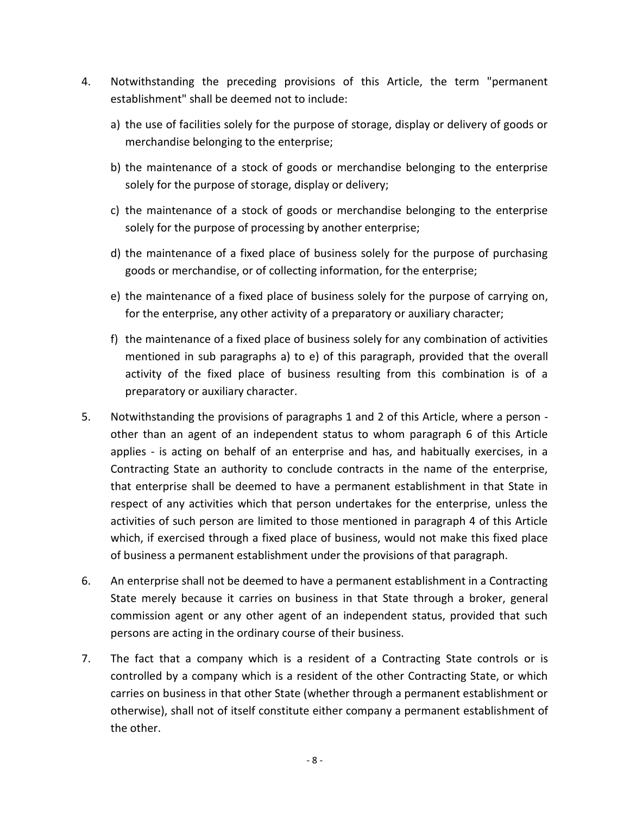- 4. Notwithstanding the preceding provisions of this Article, the term "permanent establishment" shall be deemed not to include:
	- a) the use of facilities solely for the purpose of storage, display or delivery of goods or merchandise belonging to the enterprise;
	- b) the maintenance of a stock of goods or merchandise belonging to the enterprise solely for the purpose of storage, display or delivery;
	- c) the maintenance of a stock of goods or merchandise belonging to the enterprise solely for the purpose of processing by another enterprise;
	- d) the maintenance of a fixed place of business solely for the purpose of purchasing goods or merchandise, or of collecting information, for the enterprise;
	- e) the maintenance of a fixed place of business solely for the purpose of carrying on, for the enterprise, any other activity of a preparatory or auxiliary character;
	- f) the maintenance of a fixed place of business solely for any combination of activities mentioned in sub paragraphs a) to e) of this paragraph, provided that the overall activity of the fixed place of business resulting from this combination is of a preparatory or auxiliary character.
- 5. Notwithstanding the provisions of paragraphs 1 and 2 of this Article, where a person other than an agent of an independent status to whom paragraph 6 of this Article applies - is acting on behalf of an enterprise and has, and habitually exercises, in a Contracting State an authority to conclude contracts in the name of the enterprise, that enterprise shall be deemed to have a permanent establishment in that State in respect of any activities which that person undertakes for the enterprise, unless the activities of such person are limited to those mentioned in paragraph 4 of this Article which, if exercised through a fixed place of business, would not make this fixed place of business a permanent establishment under the provisions of that paragraph.
- 6. An enterprise shall not be deemed to have a permanent establishment in a Contracting State merely because it carries on business in that State through a broker, general commission agent or any other agent of an independent status, provided that such persons are acting in the ordinary course of their business.
- 7. The fact that a company which is a resident of a Contracting State controls or is controlled by a company which is a resident of the other Contracting State, or which carries on business in that other State (whether through a permanent establishment or otherwise), shall not of itself constitute either company a permanent establishment of the other.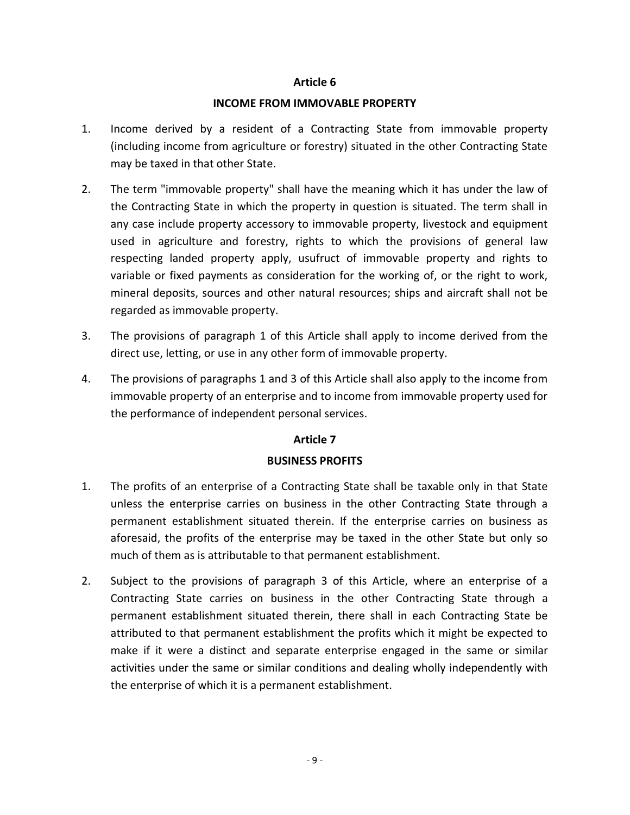### **INCOME FROM IMMOVABLE PROPERTY**

- 1. Income derived by a resident of a Contracting State from immovable property (including income from agriculture or forestry) situated in the other Contracting State may be taxed in that other State.
- 2. The term "immovable property" shall have the meaning which it has under the law of the Contracting State in which the property in question is situated. The term shall in any case include property accessory to immovable property, livestock and equipment used in agriculture and forestry, rights to which the provisions of general law respecting landed property apply, usufruct of immovable property and rights to variable or fixed payments as consideration for the working of, or the right to work, mineral deposits, sources and other natural resources; ships and aircraft shall not be regarded as immovable property.
- 3. The provisions of paragraph 1 of this Article shall apply to income derived from the direct use, letting, or use in any other form of immovable property.
- 4. The provisions of paragraphs 1 and 3 of this Article shall also apply to the income from immovable property of an enterprise and to income from immovable property used for the performance of independent personal services.

# **Article 7**

# **BUSINESS PROFITS**

- 1. The profits of an enterprise of a Contracting State shall be taxable only in that State unless the enterprise carries on business in the other Contracting State through a permanent establishment situated therein. If the enterprise carries on business as aforesaid, the profits of the enterprise may be taxed in the other State but only so much of them as is attributable to that permanent establishment.
- 2. Subject to the provisions of paragraph 3 of this Article, where an enterprise of a Contracting State carries on business in the other Contracting State through a permanent establishment situated therein, there shall in each Contracting State be attributed to that permanent establishment the profits which it might be expected to make if it were a distinct and separate enterprise engaged in the same or similar activities under the same or similar conditions and dealing wholly independently with the enterprise of which it is a permanent establishment.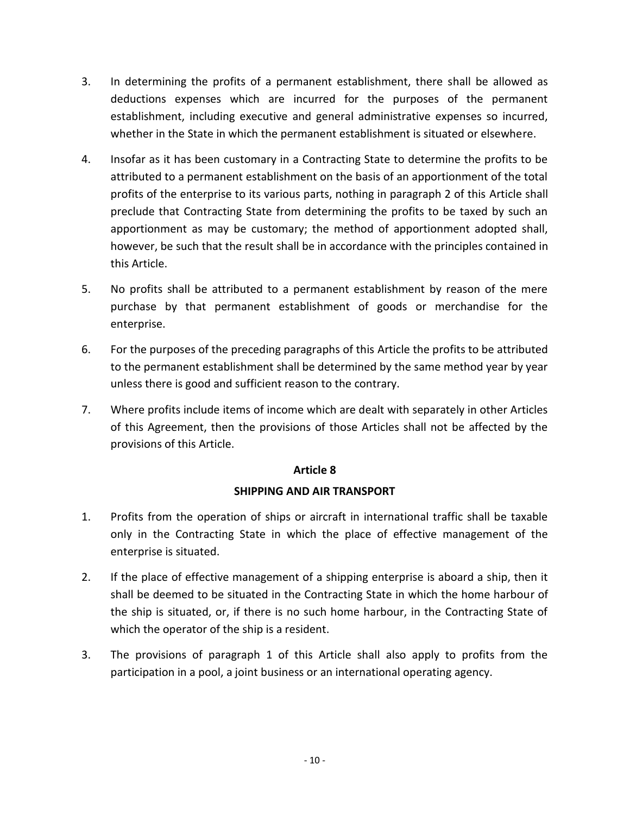- 3. In determining the profits of a permanent establishment, there shall be allowed as deductions expenses which are incurred for the purposes of the permanent establishment, including executive and general administrative expenses so incurred, whether in the State in which the permanent establishment is situated or elsewhere.
- 4. Insofar as it has been customary in a Contracting State to determine the profits to be attributed to a permanent establishment on the basis of an apportionment of the total profits of the enterprise to its various parts, nothing in paragraph 2 of this Article shall preclude that Contracting State from determining the profits to be taxed by such an apportionment as may be customary; the method of apportionment adopted shall, however, be such that the result shall be in accordance with the principles contained in this Article.
- 5. No profits shall be attributed to a permanent establishment by reason of the mere purchase by that permanent establishment of goods or merchandise for the enterprise.
- 6. For the purposes of the preceding paragraphs of this Article the profits to be attributed to the permanent establishment shall be determined by the same method year by year unless there is good and sufficient reason to the contrary.
- 7. Where profits include items of income which are dealt with separately in other Articles of this Agreement, then the provisions of those Articles shall not be affected by the provisions of this Article.

# **SHIPPING AND AIR TRANSPORT**

- 1. Profits from the operation of ships or aircraft in international traffic shall be taxable only in the Contracting State in which the place of effective management of the enterprise is situated.
- 2. If the place of effective management of a shipping enterprise is aboard a ship, then it shall be deemed to be situated in the Contracting State in which the home harbour of the ship is situated, or, if there is no such home harbour, in the Contracting State of which the operator of the ship is a resident.
- 3. The provisions of paragraph 1 of this Article shall also apply to profits from the participation in a pool, a joint business or an international operating agency.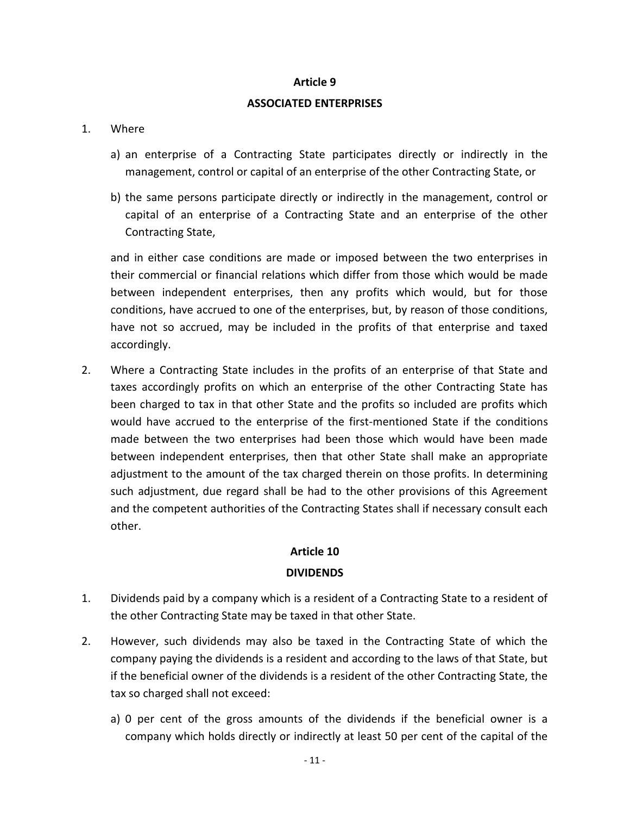#### **ASSOCIATED ENTERPRISES**

#### 1. Where

- a) an enterprise of a Contracting State participates directly or indirectly in the management, control or capital of an enterprise of the other Contracting State, or
- b) the same persons participate directly or indirectly in the management, control or capital of an enterprise of a Contracting State and an enterprise of the other Contracting State,

and in either case conditions are made or imposed between the two enterprises in their commercial or financial relations which differ from those which would be made between independent enterprises, then any profits which would, but for those conditions, have accrued to one of the enterprises, but, by reason of those conditions, have not so accrued, may be included in the profits of that enterprise and taxed accordingly.

2. Where a Contracting State includes in the profits of an enterprise of that State and taxes accordingly profits on which an enterprise of the other Contracting State has been charged to tax in that other State and the profits so included are profits which would have accrued to the enterprise of the first-mentioned State if the conditions made between the two enterprises had been those which would have been made between independent enterprises, then that other State shall make an appropriate adjustment to the amount of the tax charged therein on those profits. In determining such adjustment, due regard shall be had to the other provisions of this Agreement and the competent authorities of the Contracting States shall if necessary consult each other.

# **Article 10**

# **DIVIDENDS**

- 1. Dividends paid by a company which is a resident of a Contracting State to a resident of the other Contracting State may be taxed in that other State.
- 2. However, such dividends may also be taxed in the Contracting State of which the company paying the dividends is a resident and according to the laws of that State, but if the beneficial owner of the dividends is a resident of the other Contracting State, the tax so charged shall not exceed:
	- a) 0 per cent of the gross amounts of the dividends if the beneficial owner is a company which holds directly or indirectly at least 50 per cent of the capital of the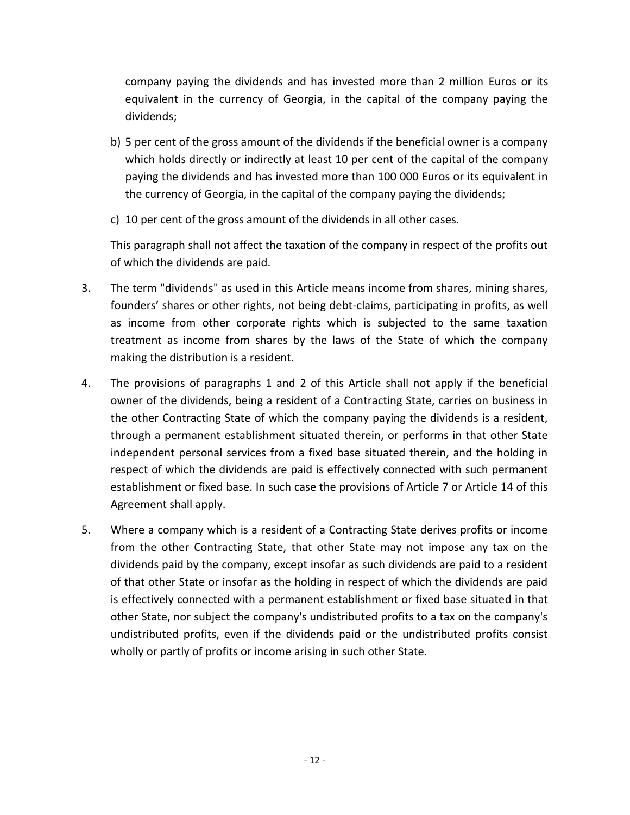company paying the dividends and has invested more than 2 million Euros or its equivalent in the currency of Georgia, in the capital of the company paying the dividends;

- b) 5 per cent of the gross amount of the dividends if the beneficial owner is a company which holds directly or indirectly at least 10 per cent of the capital of the company paying the dividends and has invested more than 100 000 Euros or its equivalent in the currency of Georgia, in the capital of the company paying the dividends;
- c) 10 per cent of the gross amount of the dividends in all other cases.

This paragraph shall not affect the taxation of the company in respect of the profits out of which the dividends are paid.

- 3. The term "dividends" as used in this Article means income from shares, mining shares, founders' shares or other rights, not being debt-claims, participating in profits, as well as income from other corporate rights which is subjected to the same taxation treatment as income from shares by the laws of the State of which the company making the distribution is a resident.
- 4. The provisions of paragraphs 1 and 2 of this Article shall not apply if the beneficial owner of the dividends, being a resident of a Contracting State, carries on business in the other Contracting State of which the company paying the dividends is a resident, through a permanent establishment situated therein, or performs in that other State independent personal services from a fixed base situated therein, and the holding in respect of which the dividends are paid is effectively connected with such permanent establishment or fixed base. In such case the provisions of Article 7 or Article 14 of this Agreement shall apply.
- 5. Where a company which is a resident of a Contracting State derives profits or income from the other Contracting State, that other State may not impose any tax on the dividends paid by the company, except insofar as such dividends are paid to a resident of that other State or insofar as the holding in respect of which the dividends are paid is effectively connected with a permanent establishment or fixed base situated in that other State, nor subject the company's undistributed profits to a tax on the company's undistributed profits, even if the dividends paid or the undistributed profits consist wholly or partly of profits or income arising in such other State.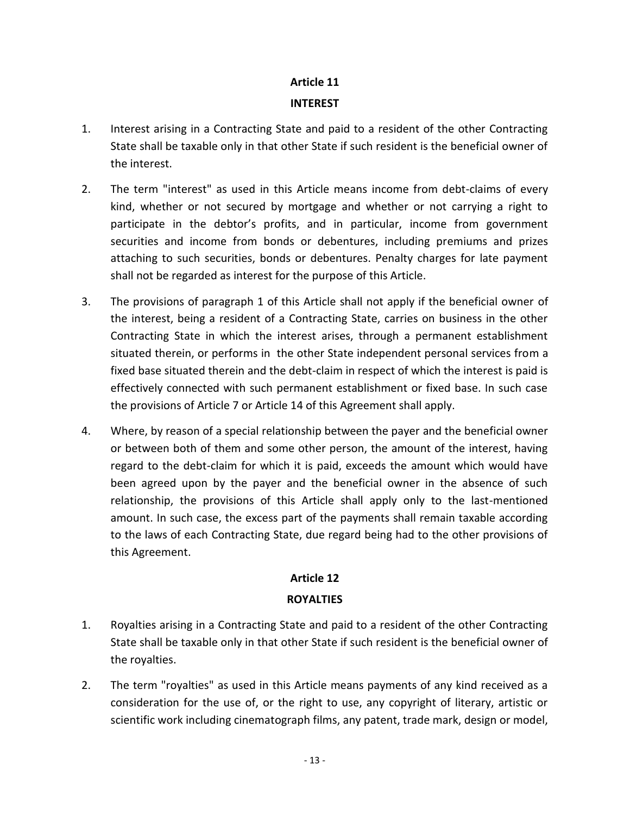#### **INTEREST**

- 1. Interest arising in a Contracting State and paid to a resident of the other Contracting State shall be taxable only in that other State if such resident is the beneficial owner of the interest.
- 2. The term "interest" as used in this Article means income from debt-claims of every kind, whether or not secured by mortgage and whether or not carrying a right to participate in the debtor's profits, and in particular, income from government securities and income from bonds or debentures, including premiums and prizes attaching to such securities, bonds or debentures. Penalty charges for late payment shall not be regarded as interest for the purpose of this Article.
- 3. The provisions of paragraph 1 of this Article shall not apply if the beneficial owner of the interest, being a resident of a Contracting State, carries on business in the other Contracting State in which the interest arises, through a permanent establishment situated therein, or performs in the other State independent personal services from a fixed base situated therein and the debt-claim in respect of which the interest is paid is effectively connected with such permanent establishment or fixed base. In such case the provisions of Article 7 or Article 14 of this Agreement shall apply.
- 4. Where, by reason of a special relationship between the payer and the beneficial owner or between both of them and some other person, the amount of the interest, having regard to the debt-claim for which it is paid, exceeds the amount which would have been agreed upon by the payer and the beneficial owner in the absence of such relationship, the provisions of this Article shall apply only to the last-mentioned amount. In such case, the excess part of the payments shall remain taxable according to the laws of each Contracting State, due regard being had to the other provisions of this Agreement.

# **Article 12**

# **ROYALTIES**

- 1. Royalties arising in a Contracting State and paid to a resident of the other Contracting State shall be taxable only in that other State if such resident is the beneficial owner of the royalties.
- 2. The term "royalties" as used in this Article means payments of any kind received as a consideration for the use of, or the right to use, any copyright of literary, artistic or scientific work including cinematograph films, any patent, trade mark, design or model,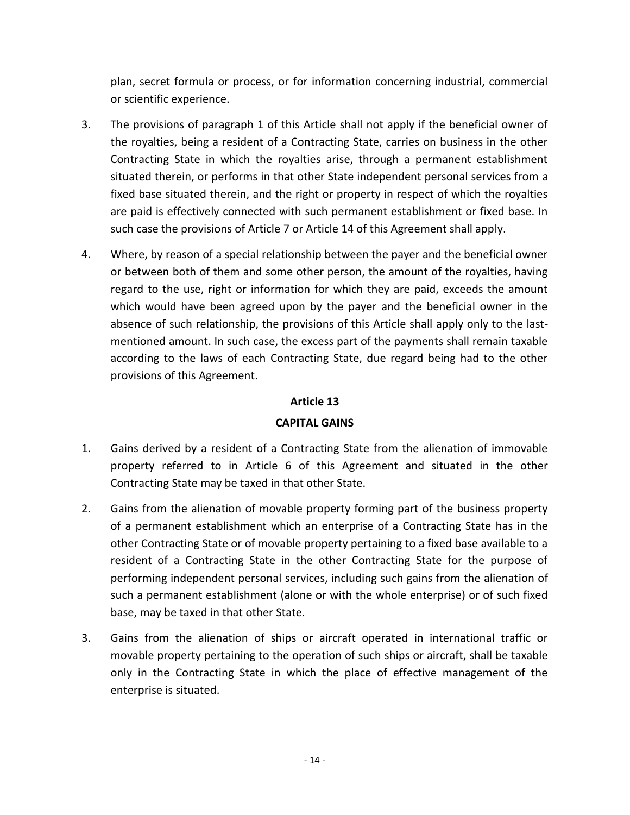plan, secret formula or process, or for information concerning industrial, commercial or scientific experience.

- 3. The provisions of paragraph 1 of this Article shall not apply if the beneficial owner of the royalties, being a resident of a Contracting State, carries on business in the other Contracting State in which the royalties arise, through a permanent establishment situated therein, or performs in that other State independent personal services from a fixed base situated therein, and the right or property in respect of which the royalties are paid is effectively connected with such permanent establishment or fixed base. In such case the provisions of Article 7 or Article 14 of this Agreement shall apply.
- 4. Where, by reason of a special relationship between the payer and the beneficial owner or between both of them and some other person, the amount of the royalties, having regard to the use, right or information for which they are paid, exceeds the amount which would have been agreed upon by the payer and the beneficial owner in the absence of such relationship, the provisions of this Article shall apply only to the lastmentioned amount. In such case, the excess part of the payments shall remain taxable according to the laws of each Contracting State, due regard being had to the other provisions of this Agreement.

# **Article 13**

# **CAPITAL GAINS**

- 1. Gains derived by a resident of a Contracting State from the alienation of immovable property referred to in Article 6 of this Agreement and situated in the other Contracting State may be taxed in that other State.
- 2. Gains from the alienation of movable property forming part of the business property of a permanent establishment which an enterprise of a Contracting State has in the other Contracting State or of movable property pertaining to a fixed base available to a resident of a Contracting State in the other Contracting State for the purpose of performing independent personal services, including such gains from the alienation of such a permanent establishment (alone or with the whole enterprise) or of such fixed base, may be taxed in that other State.
- 3. Gains from the alienation of ships or aircraft operated in international traffic or movable property pertaining to the operation of such ships or aircraft, shall be taxable only in the Contracting State in which the place of effective management of the enterprise is situated.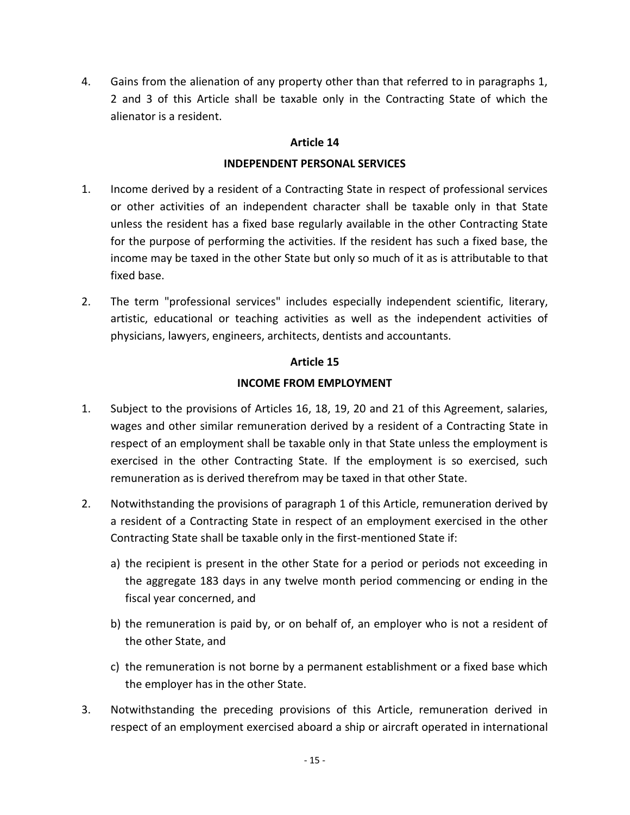4. Gains from the alienation of any property other than that referred to in paragraphs 1, 2 and 3 of this Article shall be taxable only in the Contracting State of which the alienator is a resident.

# **Article 14**

# **INDEPENDENT PERSONAL SERVICES**

- 1. Income derived by a resident of a Contracting State in respect of professional services or other activities of an independent character shall be taxable only in that State unless the resident has a fixed base regularly available in the other Contracting State for the purpose of performing the activities. If the resident has such a fixed base, the income may be taxed in the other State but only so much of it as is attributable to that fixed base.
- 2. The term "professional services" includes especially independent scientific, literary, artistic, educational or teaching activities as well as the independent activities of physicians, lawyers, engineers, architects, dentists and accountants.

# **Article 15**

# **INCOME FROM EMPLOYMENT**

- 1. Subject to the provisions of Articles 16, 18, 19, 20 and 21 of this Agreement, salaries, wages and other similar remuneration derived by a resident of a Contracting State in respect of an employment shall be taxable only in that State unless the employment is exercised in the other Contracting State. If the employment is so exercised, such remuneration as is derived therefrom may be taxed in that other State.
- 2. Notwithstanding the provisions of paragraph 1 of this Article, remuneration derived by a resident of a Contracting State in respect of an employment exercised in the other Contracting State shall be taxable only in the first-mentioned State if:
	- a) the recipient is present in the other State for a period or periods not exceeding in the aggregate 183 days in any twelve month period commencing or ending in the fiscal year concerned, and
	- b) the remuneration is paid by, or on behalf of, an employer who is not a resident of the other State, and
	- c) the remuneration is not borne by a permanent establishment or a fixed base which the employer has in the other State.
- 3. Notwithstanding the preceding provisions of this Article, remuneration derived in respect of an employment exercised aboard a ship or aircraft operated in international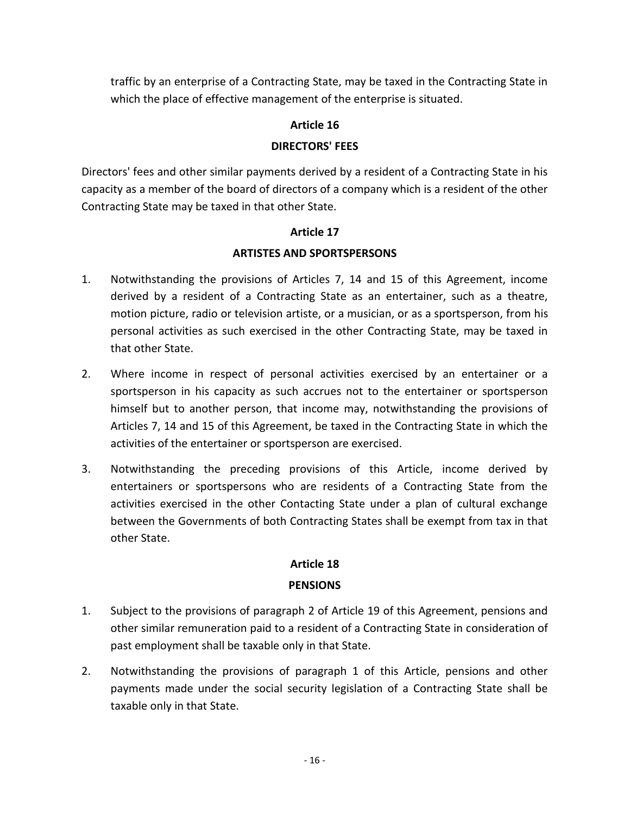traffic by an enterprise of a Contracting State, may be taxed in the Contracting State in which the place of effective management of the enterprise is situated.

# **Article 16**

# **DIRECTORS' FEES**

Directors' fees and other similar payments derived by a resident of a Contracting State in his capacity as a member of the board of directors of a company which is a resident of the other Contracting State may be taxed in that other State.

# **Article 17**

# **ARTISTES AND SPORTSPERSONS**

- 1. Notwithstanding the provisions of Articles 7, 14 and 15 of this Agreement, income derived by a resident of a Contracting State as an entertainer, such as a theatre, motion picture, radio or television artiste, or a musician, or as a sportsperson, from his personal activities as such exercised in the other Contracting State, may be taxed in that other State.
- 2. Where income in respect of personal activities exercised by an entertainer or a sportsperson in his capacity as such accrues not to the entertainer or sportsperson himself but to another person, that income may, notwithstanding the provisions of Articles 7, 14 and 15 of this Agreement, be taxed in the Contracting State in which the activities of the entertainer or sportsperson are exercised.
- 3. Notwithstanding the preceding provisions of this Article, income derived by entertainers or sportspersons who are residents of a Contracting State from the activities exercised in the other Contacting State under a plan of cultural exchange between the Governments of both Contracting States shall be exempt from tax in that other State.

# **Article 18**

# **PENSIONS**

- 1. Subject to the provisions of paragraph 2 of Article 19 of this Agreement, pensions and other similar remuneration paid to a resident of a Contracting State in consideration of past employment shall be taxable only in that State.
- 2. Notwithstanding the provisions of paragraph 1 of this Article, pensions and other payments made under the social security legislation of a Contracting State shall be taxable only in that State.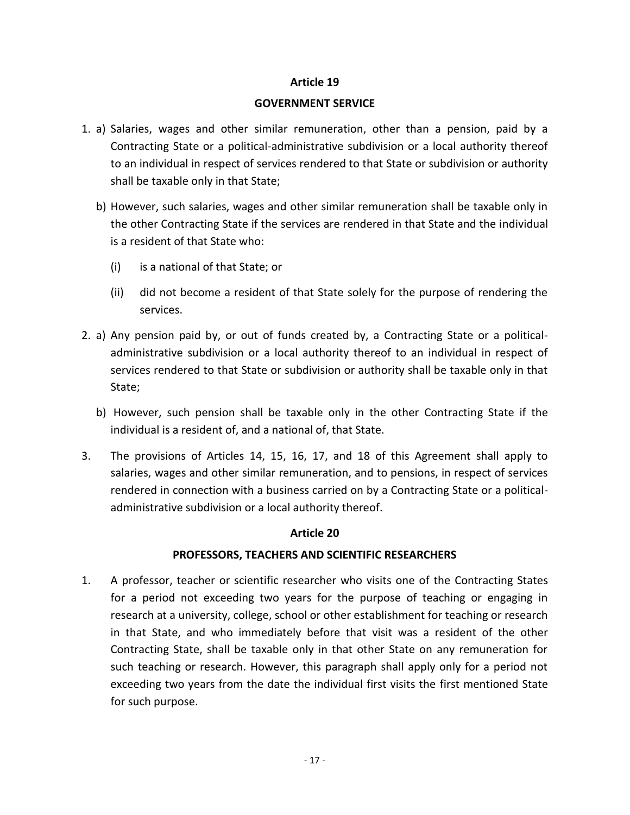#### **GOVERNMENT SERVICE**

- 1. a) Salaries, wages and other similar remuneration, other than a pension, paid by a Contracting State or a political-administrative subdivision or a local authority thereof to an individual in respect of services rendered to that State or subdivision or authority shall be taxable only in that State;
	- b) However, such salaries, wages and other similar remuneration shall be taxable only in the other Contracting State if the services are rendered in that State and the individual is a resident of that State who:
		- (i) is a national of that State; or
		- (ii) did not become a resident of that State solely for the purpose of rendering the services.
- 2. a) Any pension paid by, or out of funds created by, a Contracting State or a politicaladministrative subdivision or a local authority thereof to an individual in respect of services rendered to that State or subdivision or authority shall be taxable only in that State;
	- b) However, such pension shall be taxable only in the other Contracting State if the individual is a resident of, and a national of, that State.
- 3. The provisions of Articles 14, 15, 16, 17, and 18 of this Agreement shall apply to salaries, wages and other similar remuneration, and to pensions, in respect of services rendered in connection with a business carried on by a Contracting State or a politicaladministrative subdivision or a local authority thereof.

# **Article 20**

# **PROFESSORS, TEACHERS AND SCIENTIFIC RESEARCHERS**

1. A professor, teacher or scientific researcher who visits one of the Contracting States for a period not exceeding two years for the purpose of teaching or engaging in research at a university, college, school or other establishment for teaching or research in that State, and who immediately before that visit was a resident of the other Contracting State, shall be taxable only in that other State on any remuneration for such teaching or research. However, this paragraph shall apply only for a period not exceeding two years from the date the individual first visits the first mentioned State for such purpose.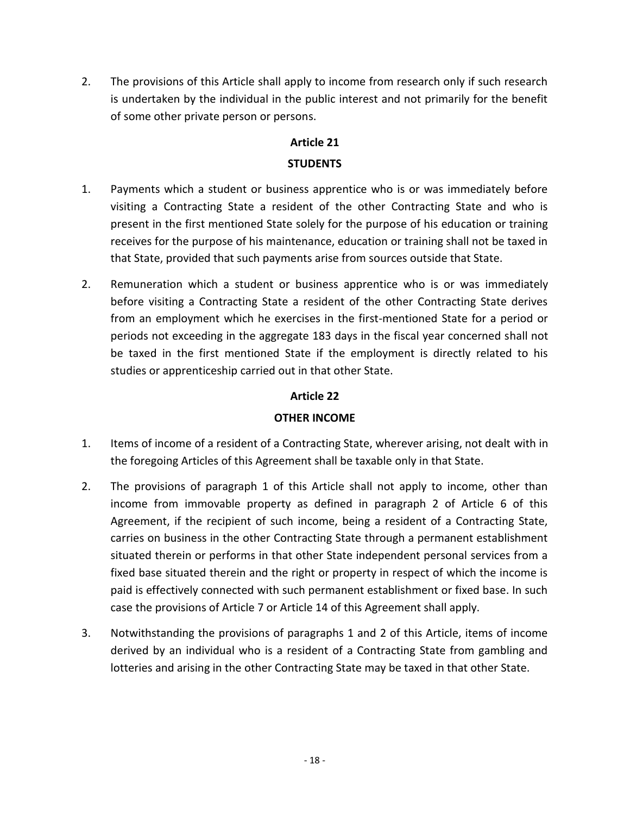2. The provisions of this Article shall apply to income from research only if such research is undertaken by the individual in the public interest and not primarily for the benefit of some other private person or persons.

# **Article 21**

# **STUDENTS**

- 1. Payments which a student or business apprentice who is or was immediately before visiting a Contracting State a resident of the other Contracting State and who is present in the first mentioned State solely for the purpose of his education or training receives for the purpose of his maintenance, education or training shall not be taxed in that State, provided that such payments arise from sources outside that State.
- 2. Remuneration which a student or business apprentice who is or was immediately before visiting a Contracting State a resident of the other Contracting State derives from an employment which he exercises in the first-mentioned State for a period or periods not exceeding in the aggregate 183 days in the fiscal year concerned shall not be taxed in the first mentioned State if the employment is directly related to his studies or apprenticeship carried out in that other State.

# **Article 22**

# **OTHER INCOME**

- 1. Items of income of a resident of a Contracting State, wherever arising, not dealt with in the foregoing Articles of this Agreement shall be taxable only in that State.
- 2. The provisions of paragraph 1 of this Article shall not apply to income, other than income from immovable property as defined in paragraph 2 of Article 6 of this Agreement, if the recipient of such income, being a resident of a Contracting State, carries on business in the other Contracting State through a permanent establishment situated therein or performs in that other State independent personal services from a fixed base situated therein and the right or property in respect of which the income is paid is effectively connected with such permanent establishment or fixed base. In such case the provisions of Article 7 or Article 14 of this Agreement shall apply.
- 3. Notwithstanding the provisions of paragraphs 1 and 2 of this Article, items of income derived by an individual who is a resident of a Contracting State from gambling and lotteries and arising in the other Contracting State may be taxed in that other State.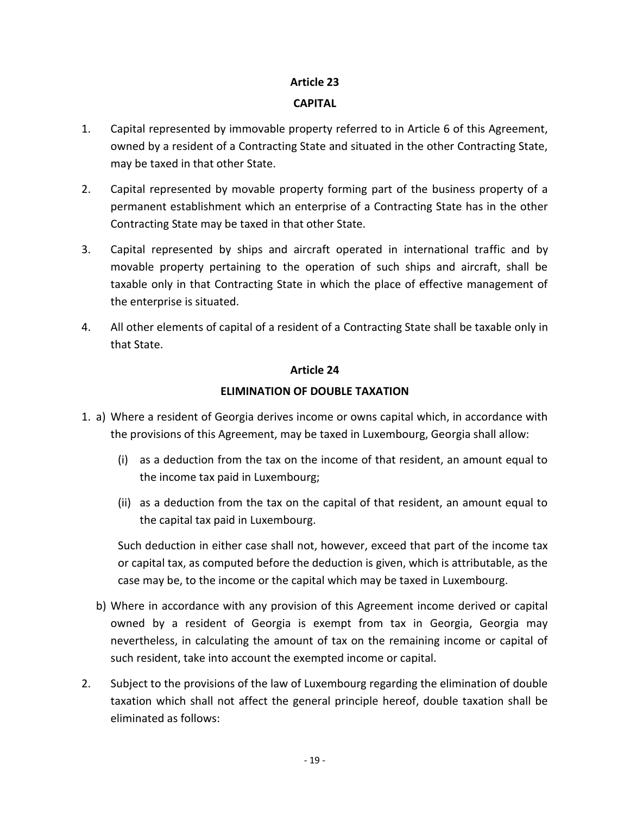### **CAPITAL**

- 1. Capital represented by immovable property referred to in Article 6 of this Agreement, owned by a resident of a Contracting State and situated in the other Contracting State, may be taxed in that other State.
- 2. Capital represented by movable property forming part of the business property of a permanent establishment which an enterprise of a Contracting State has in the other Contracting State may be taxed in that other State.
- 3. Capital represented by ships and aircraft operated in international traffic and by movable property pertaining to the operation of such ships and aircraft, shall be taxable only in that Contracting State in which the place of effective management of the enterprise is situated.
- 4. All other elements of capital of a resident of a Contracting State shall be taxable only in that State.

# **Article 24**

# **ELIMINATION OF DOUBLE TAXATION**

- 1. a) Where a resident of Georgia derives income or owns capital which, in accordance with the provisions of this Agreement, may be taxed in Luxembourg, Georgia shall allow:
	- (i) as a deduction from the tax on the income of that resident, an amount equal to the income tax paid in Luxembourg;
	- (ii) as a deduction from the tax on the capital of that resident, an amount equal to the capital tax paid in Luxembourg.

Such deduction in either case shall not, however, exceed that part of the income tax or capital tax, as computed before the deduction is given, which is attributable, as the case may be, to the income or the capital which may be taxed in Luxembourg.

- b) Where in accordance with any provision of this Agreement income derived or capital owned by a resident of Georgia is exempt from tax in Georgia, Georgia may nevertheless, in calculating the amount of tax on the remaining income or capital of such resident, take into account the exempted income or capital.
- 2. Subject to the provisions of the law of Luxembourg regarding the elimination of double taxation which shall not affect the general principle hereof, double taxation shall be eliminated as follows: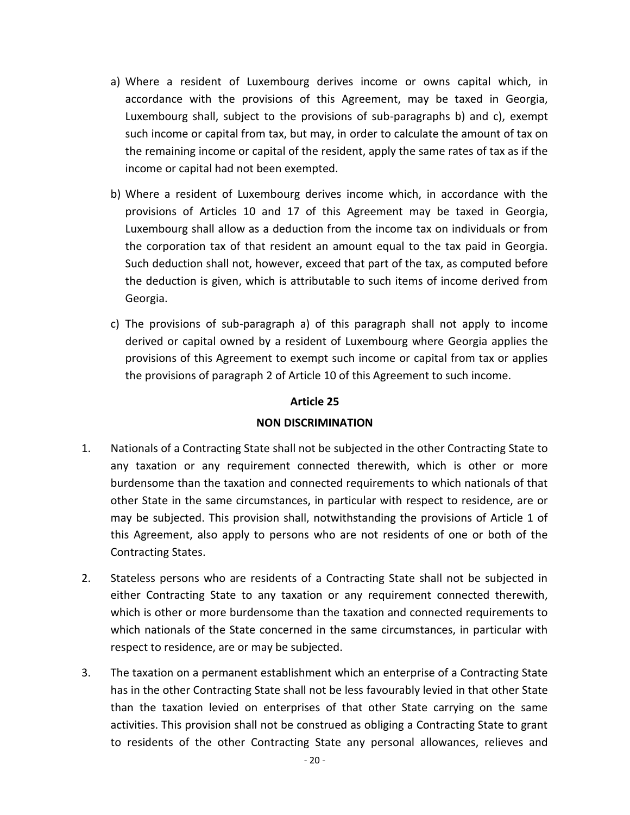- a) Where a resident of Luxembourg derives income or owns capital which, in accordance with the provisions of this Agreement, may be taxed in Georgia, Luxembourg shall, subject to the provisions of sub-paragraphs b) and c), exempt such income or capital from tax, but may, in order to calculate the amount of tax on the remaining income or capital of the resident, apply the same rates of tax as if the income or capital had not been exempted.
- b) Where a resident of Luxembourg derives income which, in accordance with the provisions of Articles 10 and 17 of this Agreement may be taxed in Georgia, Luxembourg shall allow as a deduction from the income tax on individuals or from the corporation tax of that resident an amount equal to the tax paid in Georgia. Such deduction shall not, however, exceed that part of the tax, as computed before the deduction is given, which is attributable to such items of income derived from Georgia.
- c) The provisions of sub-paragraph a) of this paragraph shall not apply to income derived or capital owned by a resident of Luxembourg where Georgia applies the provisions of this Agreement to exempt such income or capital from tax or applies the provisions of paragraph 2 of Article 10 of this Agreement to such income.

#### **NON DISCRIMINATION**

- 1. Nationals of a Contracting State shall not be subjected in the other Contracting State to any taxation or any requirement connected therewith, which is other or more burdensome than the taxation and connected requirements to which nationals of that other State in the same circumstances, in particular with respect to residence, are or may be subjected. This provision shall, notwithstanding the provisions of Article 1 of this Agreement, also apply to persons who are not residents of one or both of the Contracting States.
- 2. Stateless persons who are residents of a Contracting State shall not be subjected in either Contracting State to any taxation or any requirement connected therewith, which is other or more burdensome than the taxation and connected requirements to which nationals of the State concerned in the same circumstances, in particular with respect to residence, are or may be subjected.
- 3. The taxation on a permanent establishment which an enterprise of a Contracting State has in the other Contracting State shall not be less favourably levied in that other State than the taxation levied on enterprises of that other State carrying on the same activities. This provision shall not be construed as obliging a Contracting State to grant to residents of the other Contracting State any personal allowances, relieves and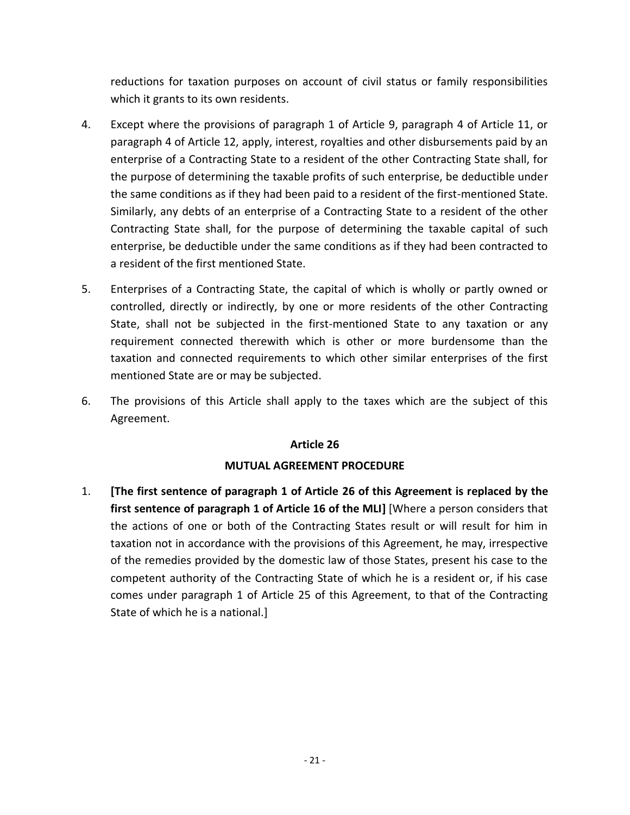reductions for taxation purposes on account of civil status or family responsibilities which it grants to its own residents.

- 4. Except where the provisions of paragraph 1 of Article 9, paragraph 4 of Article 11, or paragraph 4 of Article 12, apply, interest, royalties and other disbursements paid by an enterprise of a Contracting State to a resident of the other Contracting State shall, for the purpose of determining the taxable profits of such enterprise, be deductible under the same conditions as if they had been paid to a resident of the first-mentioned State. Similarly, any debts of an enterprise of a Contracting State to a resident of the other Contracting State shall, for the purpose of determining the taxable capital of such enterprise, be deductible under the same conditions as if they had been contracted to a resident of the first mentioned State.
- 5. Enterprises of a Contracting State, the capital of which is wholly or partly owned or controlled, directly or indirectly, by one or more residents of the other Contracting State, shall not be subjected in the first-mentioned State to any taxation or any requirement connected therewith which is other or more burdensome than the taxation and connected requirements to which other similar enterprises of the first mentioned State are or may be subjected.
- 6. The provisions of this Article shall apply to the taxes which are the subject of this Agreement.

# **Article 26**

# **MUTUAL AGREEMENT PROCEDURE**

1. **[The first sentence of paragraph 1 of Article 26 of this Agreement is replaced by the first sentence of paragraph 1 of Article 16 of the MLI]** [Where a person considers that the actions of one or both of the Contracting States result or will result for him in taxation not in accordance with the provisions of this Agreement, he may, irrespective of the remedies provided by the domestic law of those States, present his case to the competent authority of the Contracting State of which he is a resident or, if his case comes under paragraph 1 of Article 25 of this Agreement, to that of the Contracting State of which he is a national.]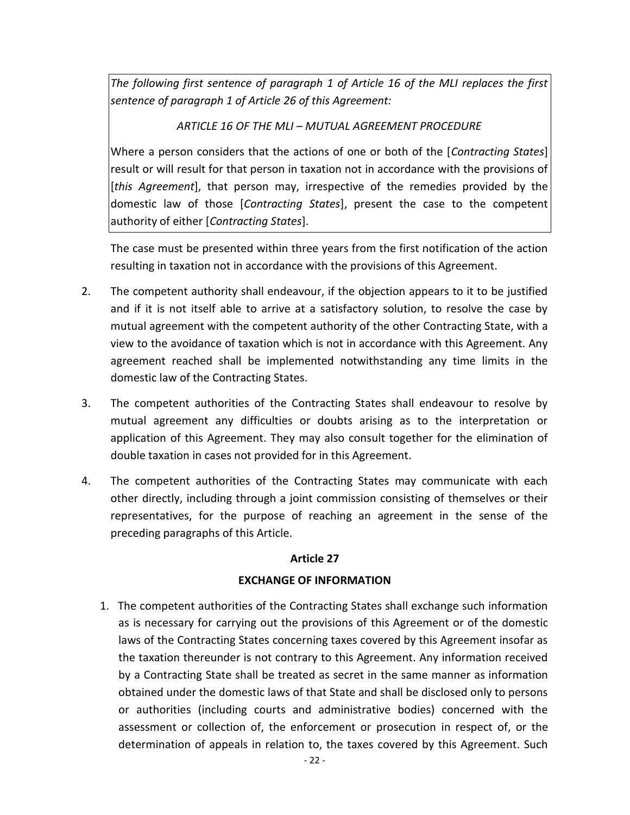*The following first sentence of paragraph 1 of Article 16 of the MLI replaces the first sentence of paragraph 1 of Article 26 of this Agreement:*

*ARTICLE 16 OF THE MLI – MUTUAL AGREEMENT PROCEDURE*

Where a person considers that the actions of one or both of the [*Contracting States*] result or will result for that person in taxation not in accordance with the provisions of [*this Agreement*], that person may, irrespective of the remedies provided by the domestic law of those [*Contracting States*], present the case to the competent authority of either [*Contracting States*].

The case must be presented within three years from the first notification of the action resulting in taxation not in accordance with the provisions of this Agreement.

- 2. The competent authority shall endeavour, if the objection appears to it to be justified and if it is not itself able to arrive at a satisfactory solution, to resolve the case by mutual agreement with the competent authority of the other Contracting State, with a view to the avoidance of taxation which is not in accordance with this Agreement. Any agreement reached shall be implemented notwithstanding any time limits in the domestic law of the Contracting States.
- 3. The competent authorities of the Contracting States shall endeavour to resolve by mutual agreement any difficulties or doubts arising as to the interpretation or application of this Agreement. They may also consult together for the elimination of double taxation in cases not provided for in this Agreement.
- 4. The competent authorities of the Contracting States may communicate with each other directly, including through a joint commission consisting of themselves or their representatives, for the purpose of reaching an agreement in the sense of the preceding paragraphs of this Article.

# **Article 27**

# **EXCHANGE OF INFORMATION**

1. The competent authorities of the Contracting States shall exchange such information as is necessary for carrying out the provisions of this Agreement or of the domestic laws of the Contracting States concerning taxes covered by this Agreement insofar as the taxation thereunder is not contrary to this Agreement. Any information received by a Contracting State shall be treated as secret in the same manner as information obtained under the domestic laws of that State and shall be disclosed only to persons or authorities (including courts and administrative bodies) concerned with the assessment or collection of, the enforcement or prosecution in respect of, or the determination of appeals in relation to, the taxes covered by this Agreement. Such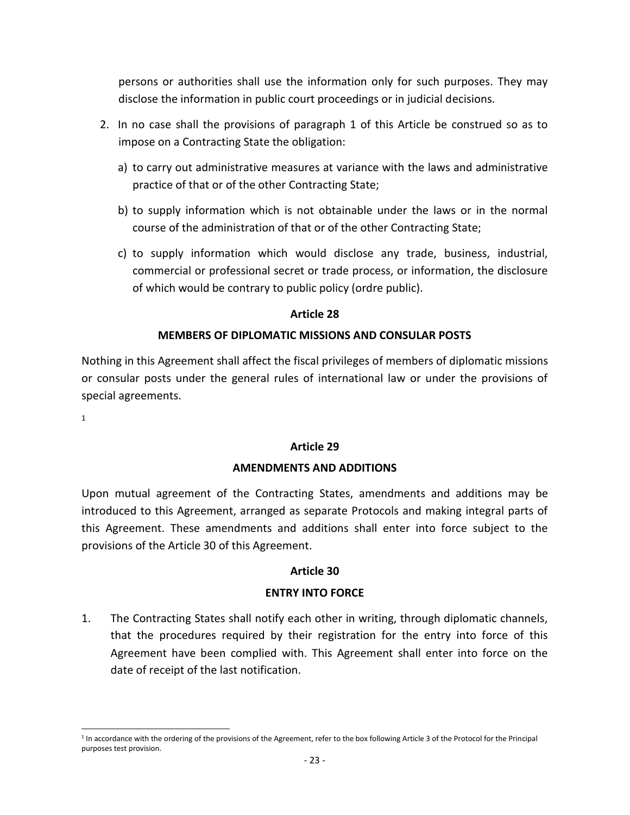persons or authorities shall use the information only for such purposes. They may disclose the information in public court proceedings or in judicial decisions.

- 2. In no case shall the provisions of paragraph 1 of this Article be construed so as to impose on a Contracting State the obligation:
	- a) to carry out administrative measures at variance with the laws and administrative practice of that or of the other Contracting State;
	- b) to supply information which is not obtainable under the laws or in the normal course of the administration of that or of the other Contracting State;
	- c) to supply information which would disclose any trade, business, industrial, commercial or professional secret or trade process, or information, the disclosure of which would be contrary to public policy (ordre public).

# **Article 28**

### **MEMBERS OF DIPLOMATIC MISSIONS AND CONSULAR POSTS**

Nothing in this Agreement shall affect the fiscal privileges of members of diplomatic missions or consular posts under the general rules of international law or under the provisions of special agreements.

1

l

# **Article 29**

### **AMENDMENTS AND ADDITIONS**

Upon mutual agreement of the Contracting States, amendments and additions may be introduced to this Agreement, arranged as separate Protocols and making integral parts of this Agreement. These amendments and additions shall enter into force subject to the provisions of the Article 30 of this Agreement.

### **Article 30**

### **ENTRY INTO FORCE**

1. The Contracting States shall notify each other in writing, through diplomatic channels, that the procedures required by their registration for the entry into force of this Agreement have been complied with. This Agreement shall enter into force on the date of receipt of the last notification.

<sup>&</sup>lt;sup>1</sup> In accordance with the ordering of the provisions of the Agreement, refer to the box following Article 3 of the Protocol for the Principal purposes test provision.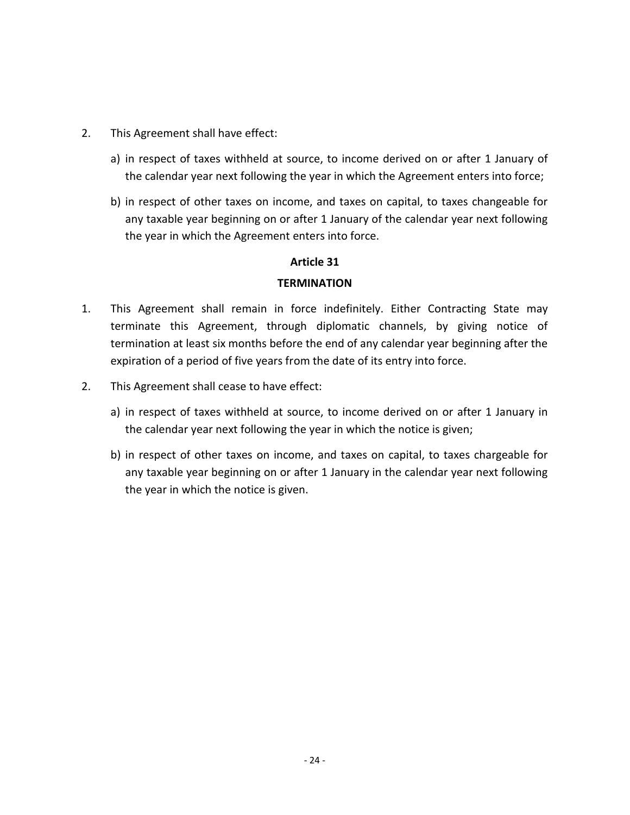- 2. This Agreement shall have effect:
	- a) in respect of taxes withheld at source, to income derived on or after 1 January of the calendar year next following the year in which the Agreement enters into force;
	- b) in respect of other taxes on income, and taxes on capital, to taxes changeable for any taxable year beginning on or after 1 January of the calendar year next following the year in which the Agreement enters into force.

### **TERMINATION**

- 1. This Agreement shall remain in force indefinitely. Either Contracting State may terminate this Agreement, through diplomatic channels, by giving notice of termination at least six months before the end of any calendar year beginning after the expiration of a period of five years from the date of its entry into force.
- 2. This Agreement shall cease to have effect:
	- a) in respect of taxes withheld at source, to income derived on or after 1 January in the calendar year next following the year in which the notice is given;
	- b) in respect of other taxes on income, and taxes on capital, to taxes chargeable for any taxable year beginning on or after 1 January in the calendar year next following the year in which the notice is given.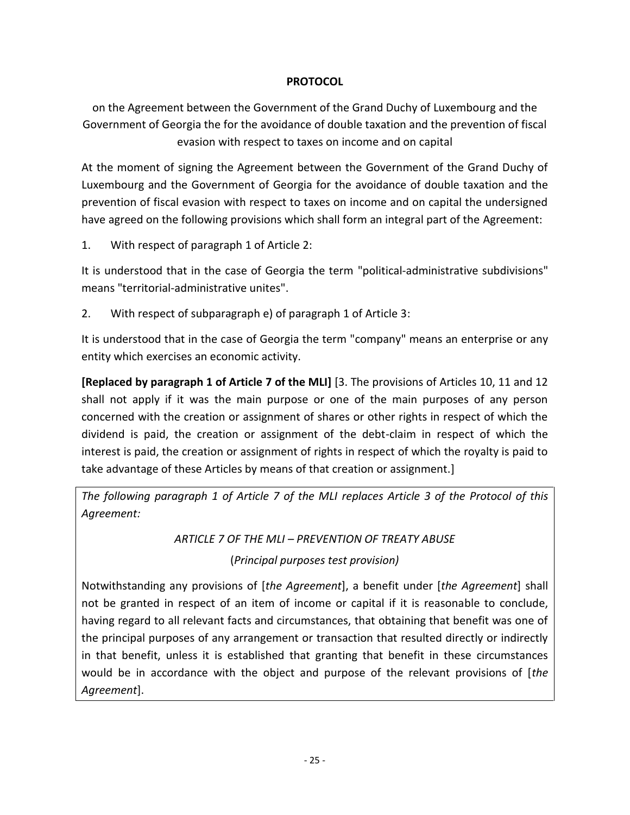# **PROTOCOL**

on the Agreement between the Government of the Grand Duchy of Luxembourg and the Government of Georgia the for the avoidance of double taxation and the prevention of fiscal evasion with respect to taxes on income and on capital

At the moment of signing the Agreement between the Government of the Grand Duchy of Luxembourg and the Government of Georgia for the avoidance of double taxation and the prevention of fiscal evasion with respect to taxes on income and on capital the undersigned have agreed on the following provisions which shall form an integral part of the Agreement:

1. With respect of paragraph 1 of Article 2:

It is understood that in the case of Georgia the term "political-administrative subdivisions" means "territorial-administrative unites".

2. With respect of subparagraph e) of paragraph 1 of Article 3:

It is understood that in the case of Georgia the term "company" means an enterprise or any entity which exercises an economic activity.

**[Replaced by paragraph 1 of Article 7 of the MLI]** [3. The provisions of Articles 10, 11 and 12 shall not apply if it was the main purpose or one of the main purposes of any person concerned with the creation or assignment of shares or other rights in respect of which the dividend is paid, the creation or assignment of the debt-claim in respect of which the interest is paid, the creation or assignment of rights in respect of which the royalty is paid to take advantage of these Articles by means of that creation or assignment.]

*The following paragraph 1 of Article 7 of the MLI replaces Article 3 of the Protocol of this Agreement:*

# *ARTICLE 7 OF THE MLI – PREVENTION OF TREATY ABUSE*

# (*Principal purposes test provision)*

Notwithstanding any provisions of [*the Agreement*], a benefit under [*the Agreement*] shall not be granted in respect of an item of income or capital if it is reasonable to conclude, having regard to all relevant facts and circumstances, that obtaining that benefit was one of the principal purposes of any arrangement or transaction that resulted directly or indirectly in that benefit, unless it is established that granting that benefit in these circumstances would be in accordance with the object and purpose of the relevant provisions of [*the Agreement*].